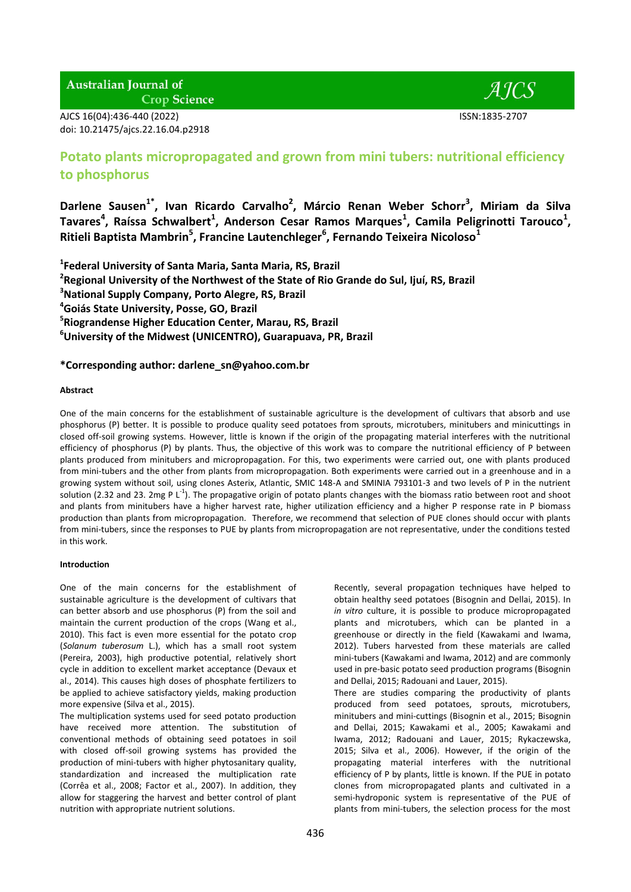# AJCS 16(04):436-440 (2022) ISSN:1835-2707 doi: 10.21475/ajcs.22.16.04.p2918



# **Potato plants micropropagated and grown from mini tubers: nutritional efficiency to phosphorus**

**Darlene Sausen1\* , Ivan Ricardo Carvalho<sup>2</sup> , Márcio Renan Weber Schorr<sup>3</sup> , Miriam da Silva**  Tavares<sup>4</sup>, Raíssa Schwalbert<sup>1</sup>, Anderson Cesar Ramos Marques<sup>1</sup>, Camila Peligrinotti Tarouco<sup>1</sup>, **Ritieli Baptista Mambrin<sup>5</sup> , Francine Lautenchleger<sup>6</sup> , Fernando Teixeira Nicoloso<sup>1</sup>**

 **Federal University of Santa Maria, Santa Maria, RS, Brazil Regional University of the Northwest of the State of Rio Grande do Sul, Ijuí, RS, Brazil National Supply Company, Porto Alegre, RS, Brazil Goiás State University, Posse, GO, Brazil Riograndense Higher Education Center, Marau, RS, Brazil University of the Midwest (UNICENTRO), Guarapuava, PR, Brazil**

## **\*Corresponding author: darlene\_sn@yahoo.com.br**

## **Abstract**

One of the main concerns for the establishment of sustainable agriculture is the development of cultivars that absorb and use phosphorus (P) better. It is possible to produce quality seed potatoes from sprouts, microtubers, minitubers and minicuttings in closed off-soil growing systems. However, little is known if the origin of the propagating material interferes with the nutritional efficiency of phosphorus (P) by plants. Thus, the objective of this work was to compare the nutritional efficiency of P between plants produced from minitubers and micropropagation. For this, two experiments were carried out, one with plants produced from mini-tubers and the other from plants from micropropagation. Both experiments were carried out in a greenhouse and in a growing system without soil, using clones Asterix, Atlantic, SMIC 148-A and SMINIA 793101-3 and two levels of P in the nutrient solution (2.32 and 23. 2mg P L<sup>-1</sup>). The propagative origin of potato plants changes with the biomass ratio between root and shoot and plants from minitubers have a higher harvest rate, higher utilization efficiency and a higher P response rate in P biomass production than plants from micropropagation. Therefore, we recommend that selection of PUE clones should occur with plants from mini-tubers, since the responses to PUE by plants from micropropagation are not representative, under the conditions tested in this work.

## **Introduction**

One of the main concerns for the establishment of sustainable agriculture is the development of cultivars that can better absorb and use phosphorus (P) from the soil and maintain the current production of the crops (Wang et al., 2010). This fact is even more essential for the potato crop (*Solanum tuberosum* L.), which has a small root system (Pereira, 2003), high productive potential, relatively short cycle in addition to excellent market acceptance (Devaux et al., 2014). This causes high doses of phosphate fertilizers to be applied to achieve satisfactory yields, making production more expensive (Silva et al., 2015).

The multiplication systems used for seed potato production have received more attention. The substitution of conventional methods of obtaining seed potatoes in soil with closed off-soil growing systems has provided the production of mini-tubers with higher phytosanitary quality, standardization and increased the multiplication rate (Corrêa et al., 2008; Factor et al., 2007). In addition, they allow for staggering the harvest and better control of plant nutrition with appropriate nutrient solutions.

Recently, several propagation techniques have helped to obtain healthy seed potatoes (Bisognin and Dellai, 2015). In *in vitro* culture, it is possible to produce micropropagated plants and microtubers, which can be planted in a greenhouse or directly in the field (Kawakami and Iwama, 2012). Tubers harvested from these materials are called mini-tubers (Kawakami and Iwama, 2012) and are commonly used in pre-basic potato seed production programs (Bisognin and Dellai, 2015; Radouani and Lauer, 2015).

There are studies comparing the productivity of plants produced from seed potatoes, sprouts, microtubers, minitubers and mini-cuttings (Bisognin et al., 2015; Bisognin and Dellai, 2015; Kawakami et al., 2005; Kawakami and Iwama, 2012; Radouani and Lauer, 2015; Rykaczewska, 2015; Silva et al., 2006). However, if the origin of the propagating material interferes with the nutritional efficiency of P by plants, little is known. If the PUE in potato clones from micropropagated plants and cultivated in a semi-hydroponic system is representative of the PUE of plants from mini-tubers, the selection process for the most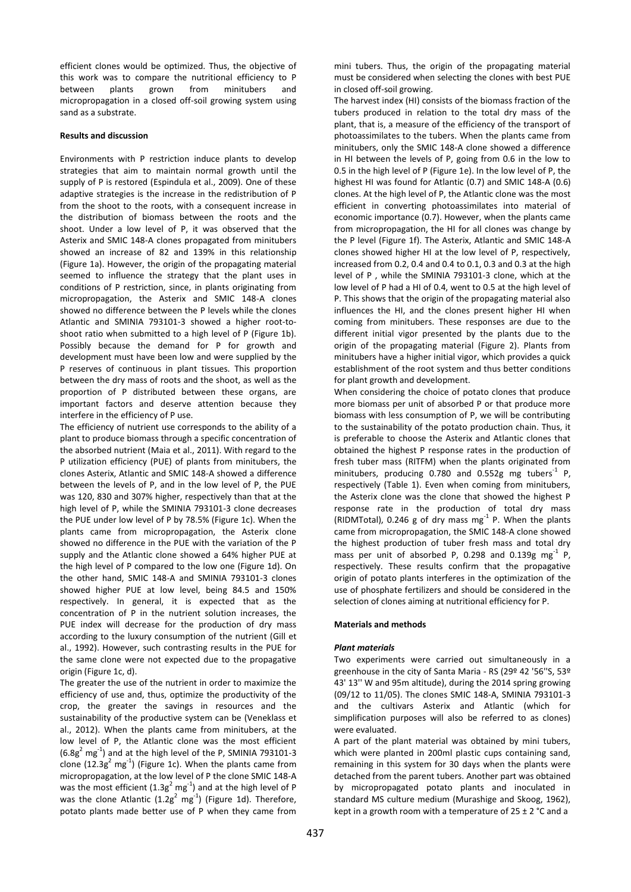efficient clones would be optimized. Thus, the objective of this work was to compare the nutritional efficiency to P between plants grown from minitubers and micropropagation in a closed off-soil growing system using sand as a substrate.

### **Results and discussion**

Environments with P restriction induce plants to develop strategies that aim to maintain normal growth until the supply of P is restored (Espindula et al., 2009). One of these adaptive strategies is the increase in the redistribution of P from the shoot to the roots, with a consequent increase in the distribution of biomass between the roots and the shoot. Under a low level of P, it was observed that the Asterix and SMIC 148-A clones propagated from minitubers showed an increase of 82 and 139% in this relationship (Figure 1a). However, the origin of the propagating material seemed to influence the strategy that the plant uses in conditions of P restriction, since, in plants originating from micropropagation, the Asterix and SMIC 148-A clones showed no difference between the P levels while the clones Atlantic and SMINIA 793101-3 showed a higher root-toshoot ratio when submitted to a high level of P (Figure 1b). Possibly because the demand for P for growth and development must have been low and were supplied by the P reserves of continuous in plant tissues. This proportion between the dry mass of roots and the shoot, as well as the proportion of P distributed between these organs, are important factors and deserve attention because they interfere in the efficiency of P use.

The efficiency of nutrient use corresponds to the ability of a plant to produce biomass through a specific concentration of the absorbed nutrient (Maia et al., 2011). With regard to the P utilization efficiency (PUE) of plants from minitubers, the clones Asterix, Atlantic and SMIC 148-A showed a difference between the levels of P, and in the low level of P, the PUE was 120, 830 and 307% higher, respectively than that at the high level of P, while the SMINIA 793101-3 clone decreases the PUE under low level of P by 78.5% (Figure 1c). When the plants came from micropropagation, the Asterix clone showed no difference in the PUE with the variation of the P supply and the Atlantic clone showed a 64% higher PUE at the high level of P compared to the low one (Figure 1d). On the other hand, SMIC 148-A and SMINIA 793101-3 clones showed higher PUE at low level, being 84.5 and 150% respectively. In general, it is expected that as the concentration of P in the nutrient solution increases, the PUE index will decrease for the production of dry mass according to the luxury consumption of the nutrient (Gill et al., 1992). However, such contrasting results in the PUE for the same clone were not expected due to the propagative origin (Figure 1c, d).

The greater the use of the nutrient in order to maximize the efficiency of use and, thus, optimize the productivity of the crop, the greater the savings in resources and the sustainability of the productive system can be (Veneklass et al., 2012). When the plants came from minitubers, at the low level of P, the Atlantic clone was the most efficient  $(6.8g<sup>2</sup> mg<sup>-1</sup>)$  and at the high level of the P, SMINIA 793101-3 clone (12.3 $g^2$  mg<sup>-1</sup>) (Figure 1c). When the plants came from micropropagation, at the low level of P the clone SMIC 148-A was the most efficient  $(1.3g^2 \text{ mg}^{-1})$  and at the high level of P was the clone Atlantic  $(1.2g^2 \text{ mg}^{-1})$  (Figure 1d). Therefore, potato plants made better use of P when they came from mini tubers. Thus, the origin of the propagating material must be considered when selecting the clones with best PUE in closed off-soil growing.

The harvest index (HI) consists of the biomass fraction of the tubers produced in relation to the total dry mass of the plant, that is, a measure of the efficiency of the transport of photoassimilates to the tubers. When the plants came from minitubers, only the SMIC 148-A clone showed a difference in HI between the levels of P, going from 0.6 in the low to 0.5 in the high level of P (Figure 1e). In the low level of P, the highest HI was found for Atlantic (0.7) and SMIC 148-A (0.6) clones. At the high level of P, the Atlantic clone was the most efficient in converting photoassimilates into material of economic importance (0.7). However, when the plants came from micropropagation, the HI for all clones was change by the P level (Figure 1f). The Asterix, Atlantic and SMIC 148-A clones showed higher HI at the low level of P, respectively, increased from 0.2, 0.4 and 0.4 to 0.1, 0.3 and 0.3 at the high level of P , while the SMINIA 793101-3 clone, which at the low level of P had a HI of 0.4, went to 0.5 at the high level of P. This shows that the origin of the propagating material also influences the HI, and the clones present higher HI when coming from minitubers. These responses are due to the different initial vigor presented by the plants due to the origin of the propagating material (Figure 2). Plants from minitubers have a higher initial vigor, which provides a quick establishment of the root system and thus better conditions for plant growth and development.

When considering the choice of potato clones that produce more biomass per unit of absorbed P or that produce more biomass with less consumption of P, we will be contributing to the sustainability of the potato production chain. Thus, it is preferable to choose the Asterix and Atlantic clones that obtained the highest P response rates in the production of fresh tuber mass (RITFM) when the plants originated from minitubers, producing  $0.780$  and  $0.552g$  mg tubers<sup>-1</sup> P, respectively (Table 1). Even when coming from minitubers, the Asterix clone was the clone that showed the highest P response rate in the production of total dry mass (RIDMTotal), 0.246 g of dry mass  $mg^{-1}$  P. When the plants came from micropropagation, the SMIC 148-A clone showed the highest production of tuber fresh mass and total dry mass per unit of absorbed P, 0.298 and 0.139g  $mg^{-1}$  P, respectively. These results confirm that the propagative origin of potato plants interferes in the optimization of the use of phosphate fertilizers and should be considered in the selection of clones aiming at nutritional efficiency for P.

#### **Materials and methods**

## *Plant materials*

Two experiments were carried out simultaneously in a greenhouse in the city of Santa Maria - RS (29º 42 '56''S, 53º 43' 13'' W and 95m altitude), during the 2014 spring growing (09/12 to 11/05). The clones SMIC 148-A, SMINIA 793101-3 and the cultivars Asterix and Atlantic (which for simplification purposes will also be referred to as clones) were evaluated.

A part of the plant material was obtained by mini tubers, which were planted in 200ml plastic cups containing sand, remaining in this system for 30 days when the plants were detached from the parent tubers. Another part was obtained by micropropagated potato plants and inoculated in standard MS culture medium (Murashige and Skoog, 1962), kept in a growth room with a temperature of  $25 \pm 2$  °C and a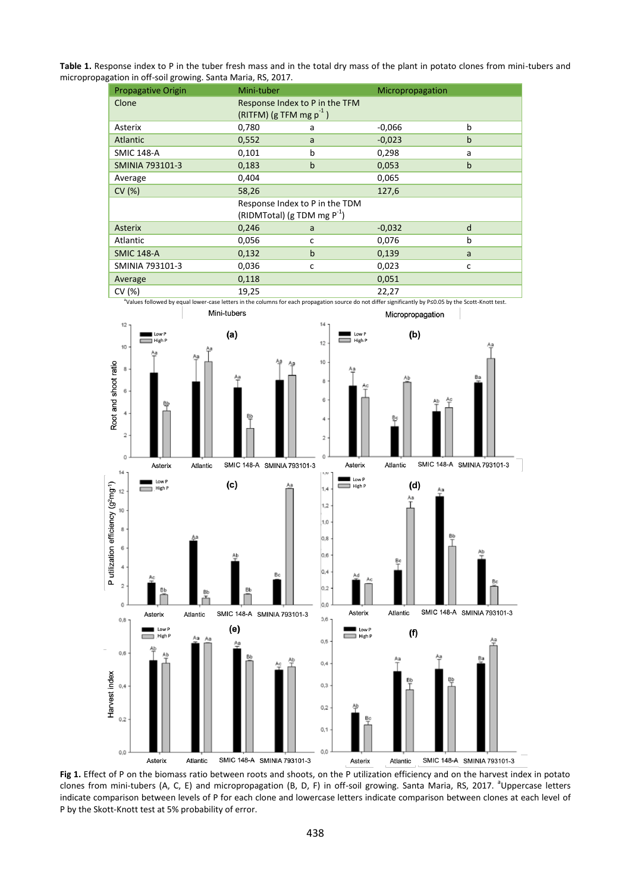**Table 1.** Response index to P in the tuber fresh mass and in the total dry mass of the plant in potato clones from mini-tubers and micropropagation in off-soil growing. Santa Maria, RS, 2017.

| <b>Propagative Origin</b> | Mini-tuber                                                         |              | Micropropagation |              |
|---------------------------|--------------------------------------------------------------------|--------------|------------------|--------------|
| Clone                     | Response Index to P in the TFM<br>(RITFM) (g TFM mg $p^{-1}$ )     |              |                  |              |
| Asterix                   | 0,780                                                              | a            | $-0,066$         | b            |
| Atlantic                  | 0,552                                                              | a            | $-0,023$         | $\mathsf b$  |
| <b>SMIC 148-A</b>         | 0,101                                                              | b            | 0,298            | a            |
| <b>SMINIA 793101-3</b>    | 0,183                                                              | $\mathbf b$  | 0,053            | $\mathsf b$  |
| Average                   | 0,404                                                              |              | 0,065            |              |
| CV(%)                     | 58,26                                                              |              | 127,6            |              |
|                           | Response Index to P in the TDM<br>(RIDMTotal) (g TDM mg $P^{-1}$ ) |              |                  |              |
| <b>Asterix</b>            | 0,246                                                              | a            | $-0,032$         | d            |
| Atlantic                  | 0,056                                                              | c            | 0,076            | b            |
| <b>SMIC 148-A</b>         | 0,132                                                              | $\mathsf{b}$ | 0,139            | a            |
| SMINIA 793101-3           | 0,036                                                              | C            | 0,023            | $\mathsf{C}$ |
| Average                   | 0,118                                                              |              | 0,051            |              |
| CV(%)                     | 19,25                                                              |              | 22,27            |              |



**Fig 1.** Effect of P on the biomass ratio between roots and shoots, on the P utilization efficiency and on the harvest index in potato clones from mini-tubers (A, C, E) and micropropagation (B, D, F) in off-soil growing. Santa Maria, RS, 2017. <sup>a</sup>Uppercase letters indicate comparison between levels of P for each clone and lowercase letters indicate comparison between clones at each level of P by the Skott-Knott test at 5% probability of error.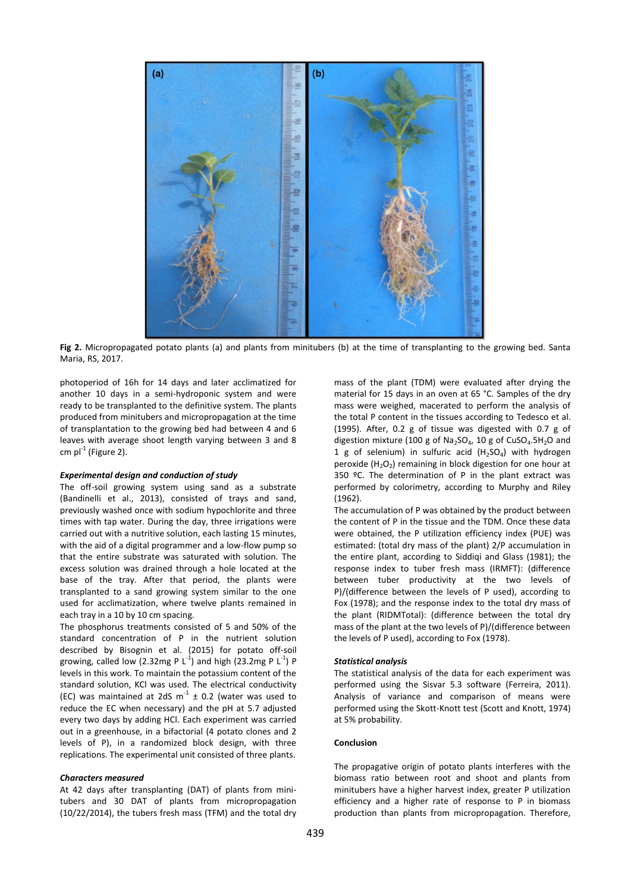

**Fig 2.** Micropropagated potato plants (a) and plants from minitubers (b) at the time of transplanting to the growing bed. Santa Maria, RS, 2017.

photoperiod of 16h for 14 days and later acclimatized for another 10 days in a semi-hydroponic system and were ready to be transplanted to the definitive system. The plants produced from minitubers and micropropagation at the time of transplantation to the growing bed had between 4 and 6 leaves with average shoot length varying between 3 and 8 cm  $pl^{-1}$  (Figure 2).

#### *Experimental design and conduction of study*

The off-soil growing system using sand as a substrate (Bandinelli et al., 2013), consisted of trays and sand, previously washed once with sodium hypochlorite and three times with tap water. During the day, three irrigations were carried out with a nutritive solution, each lasting 15 minutes, with the aid of a digital programmer and a low-flow pump so that the entire substrate was saturated with solution. The excess solution was drained through a hole located at the base of the tray. After that period, the plants were transplanted to a sand growing system similar to the one used for acclimatization, where twelve plants remained in each tray in a 10 by 10 cm spacing.

The phosphorus treatments consisted of 5 and 50% of the standard concentration of P in the nutrient solution described by Bisognin et al. (2015) for potato off-soil growing, called low (2.32mg P  $L^{-1}$ ) and high (23.2mg P  $L^{-1}$ ) P levels in this work. To maintain the potassium content of the standard solution, KCl was used. The electrical conductivity (EC) was maintained at 2dS  $m^{-1} \pm 0.2$  (water was used to reduce the EC when necessary) and the pH at 5.7 adjusted every two days by adding HCl. Each experiment was carried out in a greenhouse, in a bifactorial (4 potato clones and 2 levels of P), in a randomized block design, with three replications. The experimental unit consisted of three plants.

#### *Characters measured*

At 42 days after transplanting (DAT) of plants from minitubers and 30 DAT of plants from micropropagation (10/22/2014), the tubers fresh mass (TFM) and the total dry mass of the plant (TDM) were evaluated after drying the material for 15 days in an oven at 65 °C. Samples of the dry mass were weighed, macerated to perform the analysis of the total P content in the tissues according to Tedesco et al. (1995). After, 0.2 g of tissue was digested with 0.7 g of digestion mixture (100 g of  $Na<sub>2</sub>SO<sub>4</sub>$ , 10 g of CuSO<sub>4</sub>.5H<sub>2</sub>O and 1 g of selenium) in sulfuric acid  $(H_2SO_4)$  with hydrogen peroxide  $(H_2O_2)$  remaining in block digestion for one hour at 350 ºC. The determination of P in the plant extract was performed by colorimetry, according to Murphy and Riley (1962).

The accumulation of P was obtained by the product between the content of P in the tissue and the TDM. Once these data were obtained, the P utilization efficiency index (PUE) was estimated: (total dry mass of the plant) 2/P accumulation in the entire plant, according to Siddiqi and Glass (1981); the response index to tuber fresh mass (IRMFT): (difference between tuber productivity at the two levels of P)/(difference between the levels of P used), according to Fox (1978); and the response index to the total dry mass of the plant (RIDMTotal): (difference between the total dry mass of the plant at the two levels of P)/(difference between the levels of P used), according to Fox (1978).

#### *Statistical analysis*

The statistical analysis of the data for each experiment was performed using the Sisvar 5.3 software (Ferreira, 2011). Analysis of variance and comparison of means were performed using the Skott-Knott test (Scott and Knott, 1974) at 5% probability.

#### **Conclusion**

The propagative origin of potato plants interferes with the biomass ratio between root and shoot and plants from minitubers have a higher harvest index, greater P utilization efficiency and a higher rate of response to P in biomass production than plants from micropropagation. Therefore,